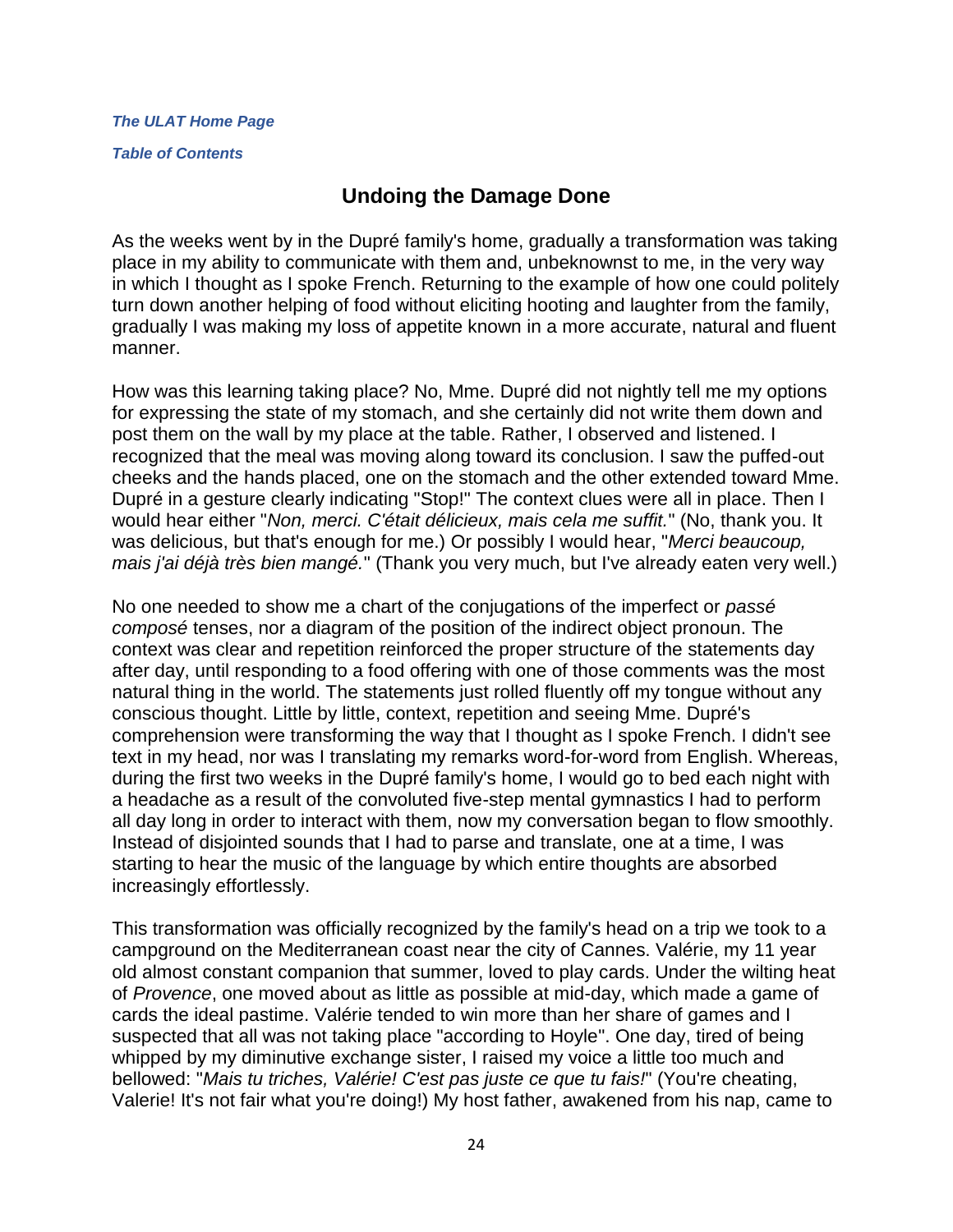#### *[The ULAT Home Page](http://www.theulat.com/)*

*[Table of Contents](http://www.theulat.com/INOTHERWORDS/CONTENTS.PDF)*

## **Undoing the Damage Done**

As the weeks went by in the Dupré family's home, gradually a transformation was taking place in my ability to communicate with them and, unbeknownst to me, in the very way in which I thought as I spoke French. Returning to the example of how one could politely turn down another helping of food without eliciting hooting and laughter from the family, gradually I was making my loss of appetite known in a more accurate, natural and fluent manner.

How was this learning taking place? No, Mme. Dupré did not nightly tell me my options for expressing the state of my stomach, and she certainly did not write them down and post them on the wall by my place at the table. Rather, I observed and listened. I recognized that the meal was moving along toward its conclusion. I saw the puffed-out cheeks and the hands placed, one on the stomach and the other extended toward Mme. Dupré in a gesture clearly indicating "Stop!" The context clues were all in place. Then I would hear either "*Non, merci. C'était délicieux, mais cela me suffit.*" (No, thank you. It was delicious, but that's enough for me.) Or possibly I would hear, "*Merci beaucoup, mais j'ai déjà très bien mangé.*" (Thank you very much, but I've already eaten very well.)

No one needed to show me a chart of the conjugations of the imperfect or *passé composé* tenses, nor a diagram of the position of the indirect object pronoun. The context was clear and repetition reinforced the proper structure of the statements day after day, until responding to a food offering with one of those comments was the most natural thing in the world. The statements just rolled fluently off my tongue without any conscious thought. Little by little, context, repetition and seeing Mme. Dupré's comprehension were transforming the way that I thought as I spoke French. I didn't see text in my head, nor was I translating my remarks word-for-word from English. Whereas, during the first two weeks in the Dupré family's home, I would go to bed each night with a headache as a result of the convoluted five-step mental gymnastics I had to perform all day long in order to interact with them, now my conversation began to flow smoothly. Instead of disjointed sounds that I had to parse and translate, one at a time, I was starting to hear the music of the language by which entire thoughts are absorbed increasingly effortlessly.

This transformation was officially recognized by the family's head on a trip we took to a campground on the Mediterranean coast near the city of Cannes. Valérie, my 11 year old almost constant companion that summer, loved to play cards. Under the wilting heat of *Provence*, one moved about as little as possible at mid-day, which made a game of cards the ideal pastime. Valérie tended to win more than her share of games and I suspected that all was not taking place "according to Hoyle". One day, tired of being whipped by my diminutive exchange sister, I raised my voice a little too much and bellowed: "*Mais tu triches, Valérie! C'est pas juste ce que tu fais!*" (You're cheating, Valerie! It's not fair what you're doing!) My host father, awakened from his nap, came to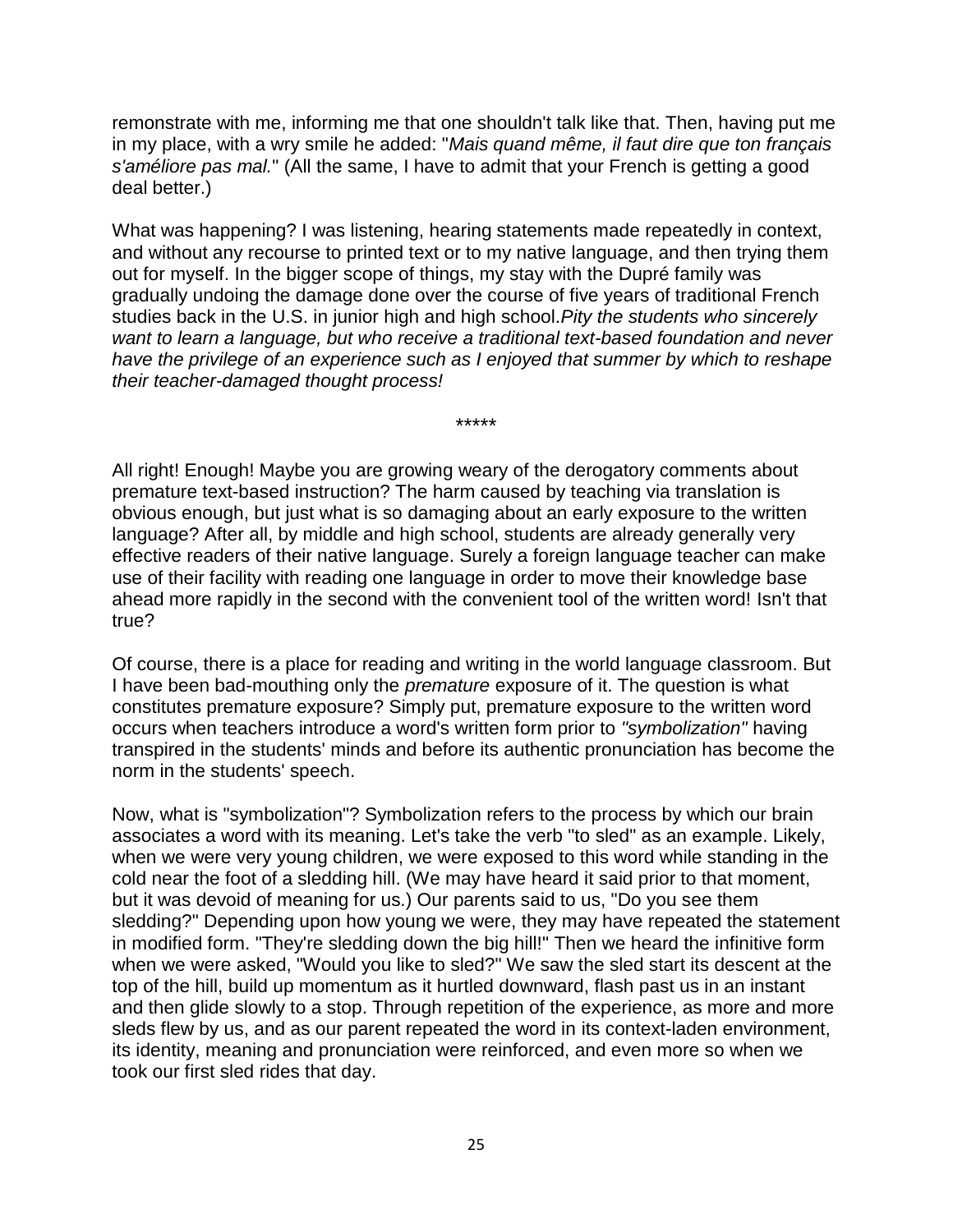remonstrate with me, informing me that one shouldn't talk like that. Then, having put me in my place, with a wry smile he added: "*Mais quand même, il faut dire que ton français s'améliore pas mal.*" (All the same, I have to admit that your French is getting a good deal better.)

What was happening? I was listening, hearing statements made repeatedly in context, and without any recourse to printed text or to my native language, and then trying them out for myself. In the bigger scope of things, my stay with the Dupré family was gradually undoing the damage done over the course of five years of traditional French studies back in the U.S. in junior high and high school.*Pity the students who sincerely want to learn a language, but who receive a traditional text-based foundation and never have the privilege of an experience such as I enjoyed that summer by which to reshape their teacher-damaged thought process!*

\*\*\*\*\*

All right! Enough! Maybe you are growing weary of the derogatory comments about premature text-based instruction? The harm caused by teaching via translation is obvious enough, but just what is so damaging about an early exposure to the written language? After all, by middle and high school, students are already generally very effective readers of their native language. Surely a foreign language teacher can make use of their facility with reading one language in order to move their knowledge base ahead more rapidly in the second with the convenient tool of the written word! Isn't that true?

Of course, there is a place for reading and writing in the world language classroom. But I have been bad-mouthing only the *premature* exposure of it. The question is what constitutes premature exposure? Simply put, premature exposure to the written word occurs when teachers introduce a word's written form prior to *"symbolization"* having transpired in the students' minds and before its authentic pronunciation has become the norm in the students' speech.

Now, what is "symbolization"? Symbolization refers to the process by which our brain associates a word with its meaning. Let's take the verb "to sled" as an example. Likely, when we were very young children, we were exposed to this word while standing in the cold near the foot of a sledding hill. (We may have heard it said prior to that moment, but it was devoid of meaning for us.) Our parents said to us, "Do you see them sledding?" Depending upon how young we were, they may have repeated the statement in modified form. "They're sledding down the big hill!" Then we heard the infinitive form when we were asked, "Would you like to sled?" We saw the sled start its descent at the top of the hill, build up momentum as it hurtled downward, flash past us in an instant and then glide slowly to a stop. Through repetition of the experience, as more and more sleds flew by us, and as our parent repeated the word in its context-laden environment, its identity, meaning and pronunciation were reinforced, and even more so when we took our first sled rides that day.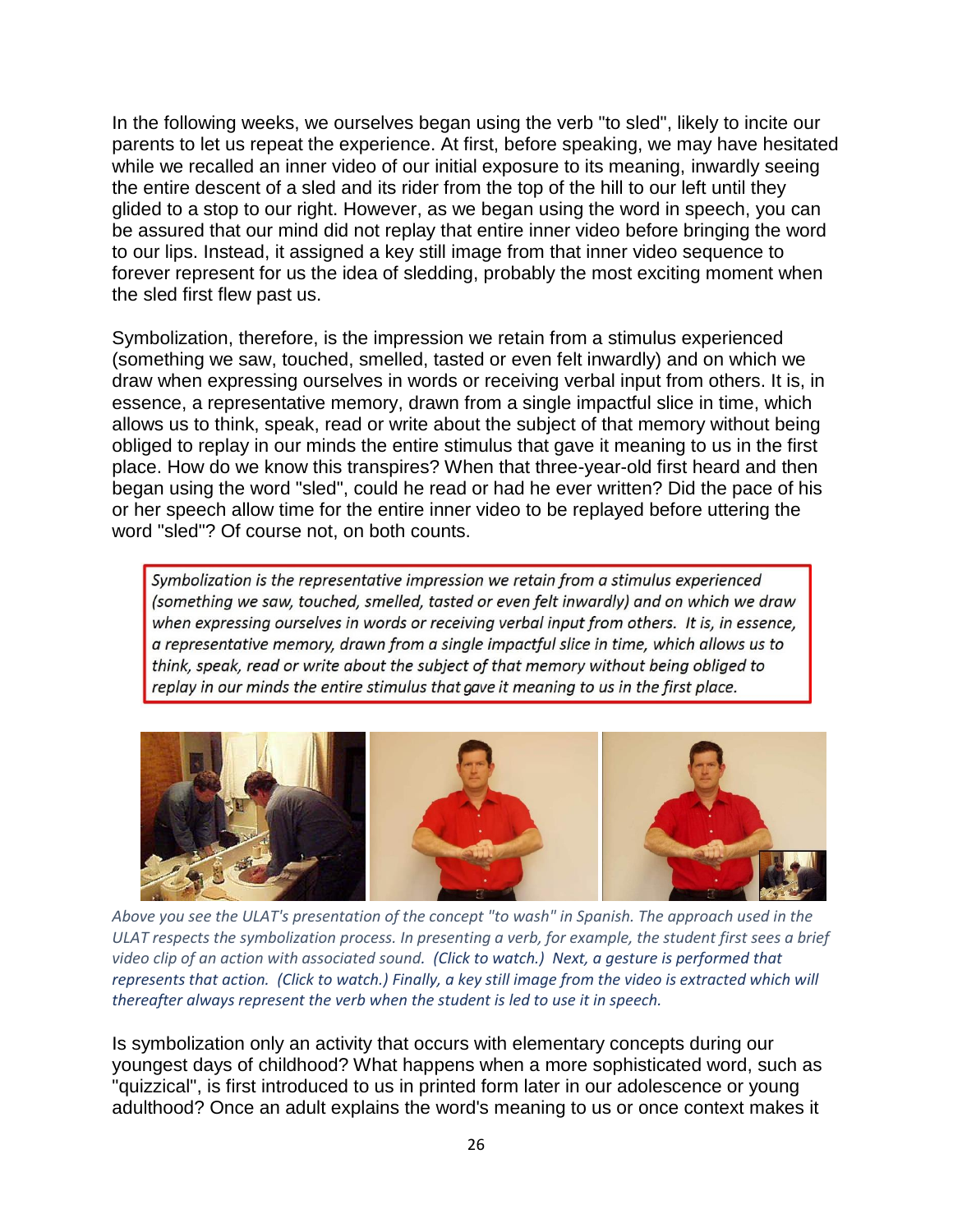In the following weeks, we ourselves began using the verb "to sled", likely to incite our parents to let us repeat the experience. At first, before speaking, we may have hesitated while we recalled an inner video of our initial exposure to its meaning, inwardly seeing the entire descent of a sled and its rider from the top of the hill to our left until they glided to a stop to our right. However, as we began using the word in speech, you can be assured that our mind did not replay that entire inner video before bringing the word to our lips. Instead, it assigned a key still image from that inner video sequence to forever represent for us the idea of sledding, probably the most exciting moment when the sled first flew past us.

Symbolization, therefore, is the impression we retain from a stimulus experienced (something we saw, touched, smelled, tasted or even felt inwardly) and on which we draw when expressing ourselves in words or receiving verbal input from others. It is, in essence, a representative memory, drawn from a single impactful slice in time, which allows us to think, speak, read or write about the subject of that memory without being obliged to replay in our minds the entire stimulus that gave it meaning to us in the first place. How do we know this transpires? When that three-year-old first heard and then began using the word "sled", could he read or had he ever written? Did the pace of his or her speech allow time for the entire inner video to be replayed before uttering the word "sled"? Of course not, on both counts.

Symbolization is the representative impression we retain from a stimulus experienced (something we saw, touched, smelled, tasted or even felt inwardly) and on which we draw when expressing ourselves in words or receiving verbal input from others. It is, in essence, a representative memory, drawn from a single impactful slice in time, which allows us to think, speak, read or write about the subject of that memory without being obliged to replay in our minds the entire stimulus that gave it meaning to us in the first place.



*Above you see the ULAT's presentation of the concept "to wash" in Spanish. The approach used in the ULAT respects the symbolization process. In presenting a verb, for example, the student first sees a brief video clip of an action with associated sound. (Click to watch.) Next, a gesture is performed that represents that action. (Click to watch.) Finally, a key still image from the video is extracted which will thereafter always represent the verb when the student is led to use it in speech.*

Is symbolization only an activity that occurs with elementary concepts during our youngest days of childhood? What happens when a more sophisticated word, such as "quizzical", is first introduced to us in printed form later in our adolescence or young adulthood? Once an adult explains the word's meaning to us or once context makes it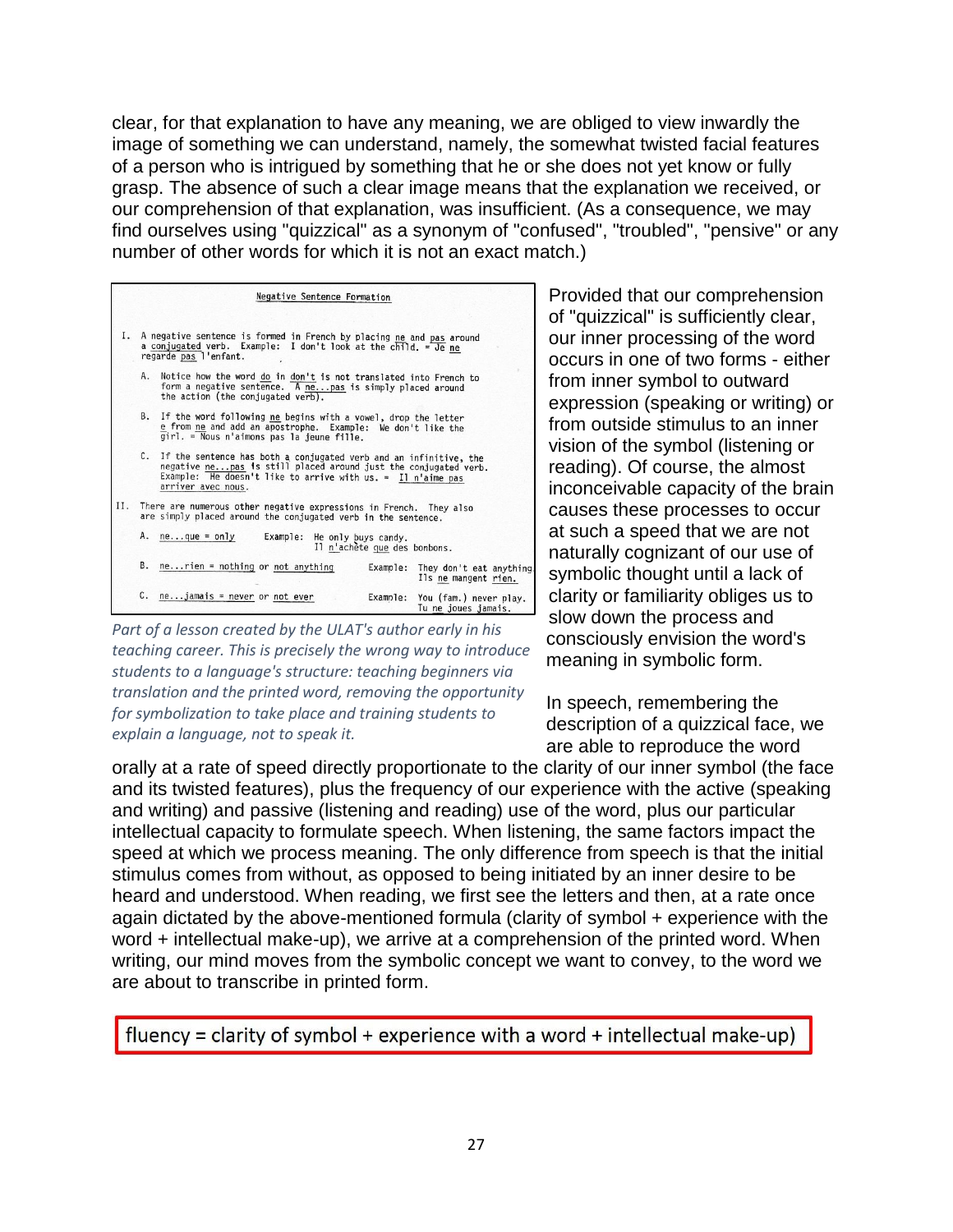clear, for that explanation to have any meaning, we are obliged to view inwardly the image of something we can understand, namely, the somewhat twisted facial features of a person who is intrigued by something that he or she does not yet know or fully grasp. The absence of such a clear image means that the explanation we received, or our comprehension of that explanation, was insufficient. (As a consequence, we may find ourselves using "quizzical" as a synonym of "confused", "troubled", "pensive" or any number of other words for which it is not an exact match.)

|    | Negative Sentence Formation                                                                                                                                                                                                    |  |
|----|--------------------------------------------------------------------------------------------------------------------------------------------------------------------------------------------------------------------------------|--|
| Ι. | A negative sentence is formed in French by placing ne and pas around<br>a conjugated verb. Example: I don't look at the child. = Je ne<br>regarde pas l'enfant.                                                                |  |
|    | A. Notice how the word do in don't is not translated into French to<br>form a negative sentence. A ne pas is simply placed around<br>the action (the conjugated verb).                                                         |  |
|    | B. If the word following ne begins with a vowel, drop the letter<br>e from ne and add an apostrophe. Example: We don't like the<br>girl. = Nous n'aimons pas la jeune fille.                                                   |  |
|    | C. If the sentence has both a conjugated verb and an infinitive, the<br>negative nepas is still placed around just the conjugated verb.<br>Example: $He doesn't like to arrive with us. = II n'aime pas$<br>arriver avec nous. |  |
|    | II. There are numerous other negative expressions in French. They also<br>are simply placed around the conjugated verb in the sentence.                                                                                        |  |
|    | A. neque = only<br>Example: He only buys candy.<br>Il n'achète que des bonbons.                                                                                                                                                |  |
|    | B. $ne$ rien = nothing or not anything<br>Example: They don't eat anything<br>Ils ne mangent rien.                                                                                                                             |  |
|    | $C.$ ne jamais = never or not ever<br>Example: You (fam.) never play.<br>Tu ne joues jamais                                                                                                                                    |  |

*Part of a lesson created by the ULAT's author early in his teaching career. This is precisely the wrong way to introduce students to a language's structure: teaching beginners via translation and the printed word, removing the opportunity for symbolization to take place and training students to explain a language, not to speak it.*

Provided that our comprehension of "quizzical" is sufficiently clear, our inner processing of the word occurs in one of two forms - either from inner symbol to outward expression (speaking or writing) or from outside stimulus to an inner vision of the symbol (listening or reading). Of course, the almost inconceivable capacity of the brain causes these processes to occur at such a speed that we are not naturally cognizant of our use of symbolic thought until a lack of clarity or familiarity obliges us to slow down the process and consciously envision the word's meaning in symbolic form.

In speech, remembering the description of a quizzical face, we are able to reproduce the word

orally at a rate of speed directly proportionate to the clarity of our inner symbol (the face and its twisted features), plus the frequency of our experience with the active (speaking and writing) and passive (listening and reading) use of the word, plus our particular intellectual capacity to formulate speech. When listening, the same factors impact the speed at which we process meaning. The only difference from speech is that the initial stimulus comes from without, as opposed to being initiated by an inner desire to be heard and understood. When reading, we first see the letters and then, at a rate once again dictated by the above-mentioned formula (clarity of symbol + experience with the word + intellectual make-up), we arrive at a comprehension of the printed word. When writing, our mind moves from the symbolic concept we want to convey, to the word we are about to transcribe in printed form.

fluency = clarity of symbol + experience with a word + intellectual make-up)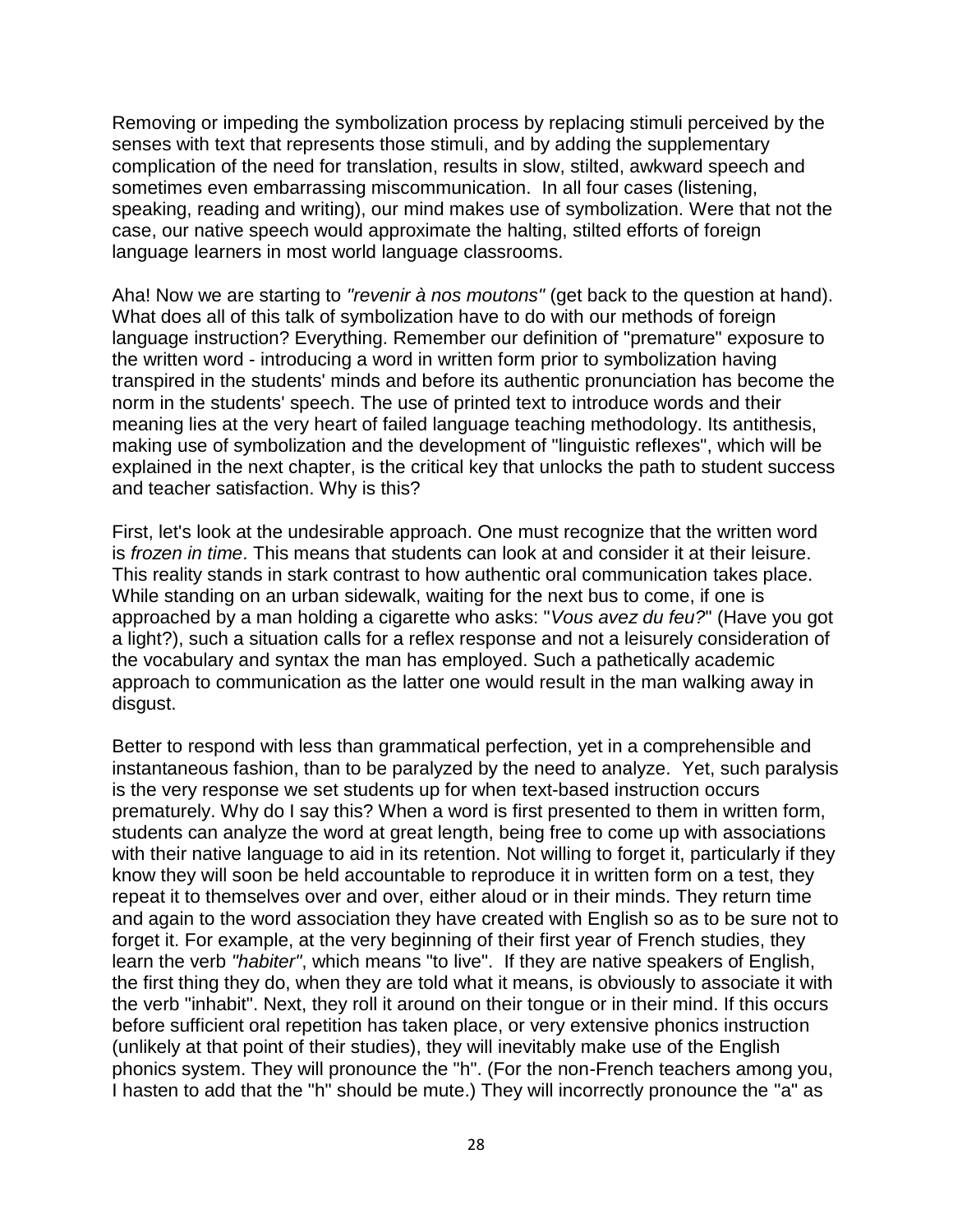Removing or impeding the symbolization process by replacing stimuli perceived by the senses with text that represents those stimuli, and by adding the supplementary complication of the need for translation, results in slow, stilted, awkward speech and sometimes even embarrassing miscommunication. In all four cases (listening, speaking, reading and writing), our mind makes use of symbolization. Were that not the case, our native speech would approximate the halting, stilted efforts of foreign language learners in most world language classrooms.

Aha! Now we are starting to *"revenir à nos moutons"* (get back to the question at hand). What does all of this talk of symbolization have to do with our methods of foreign language instruction? Everything. Remember our definition of "premature" exposure to the written word - introducing a word in written form prior to symbolization having transpired in the students' minds and before its authentic pronunciation has become the norm in the students' speech. The use of printed text to introduce words and their meaning lies at the very heart of failed language teaching methodology. Its antithesis, making use of symbolization and the development of "linguistic reflexes", which will be explained in the next chapter, is the critical key that unlocks the path to student success and teacher satisfaction. Why is this?

First, let's look at the undesirable approach. One must recognize that the written word is *frozen in time*. This means that students can look at and consider it at their leisure. This reality stands in stark contrast to how authentic oral communication takes place. While standing on an urban sidewalk, waiting for the next bus to come, if one is approached by a man holding a cigarette who asks: "*Vous avez du feu?*" (Have you got a light?), such a situation calls for a reflex response and not a leisurely consideration of the vocabulary and syntax the man has employed. Such a pathetically academic approach to communication as the latter one would result in the man walking away in disgust.

Better to respond with less than grammatical perfection, yet in a comprehensible and instantaneous fashion, than to be paralyzed by the need to analyze. Yet, such paralysis is the very response we set students up for when text-based instruction occurs prematurely. Why do I say this? When a word is first presented to them in written form, students can analyze the word at great length, being free to come up with associations with their native language to aid in its retention. Not willing to forget it, particularly if they know they will soon be held accountable to reproduce it in written form on a test, they repeat it to themselves over and over, either aloud or in their minds. They return time and again to the word association they have created with English so as to be sure not to forget it. For example, at the very beginning of their first year of French studies, they learn the verb *"habiter"*, which means "to live". If they are native speakers of English, the first thing they do, when they are told what it means, is obviously to associate it with the verb "inhabit". Next, they roll it around on their tongue or in their mind. If this occurs before sufficient oral repetition has taken place, or very extensive phonics instruction (unlikely at that point of their studies), they will inevitably make use of the English phonics system. They will pronounce the "h". (For the non-French teachers among you, I hasten to add that the "h" should be mute.) They will incorrectly pronounce the "a" as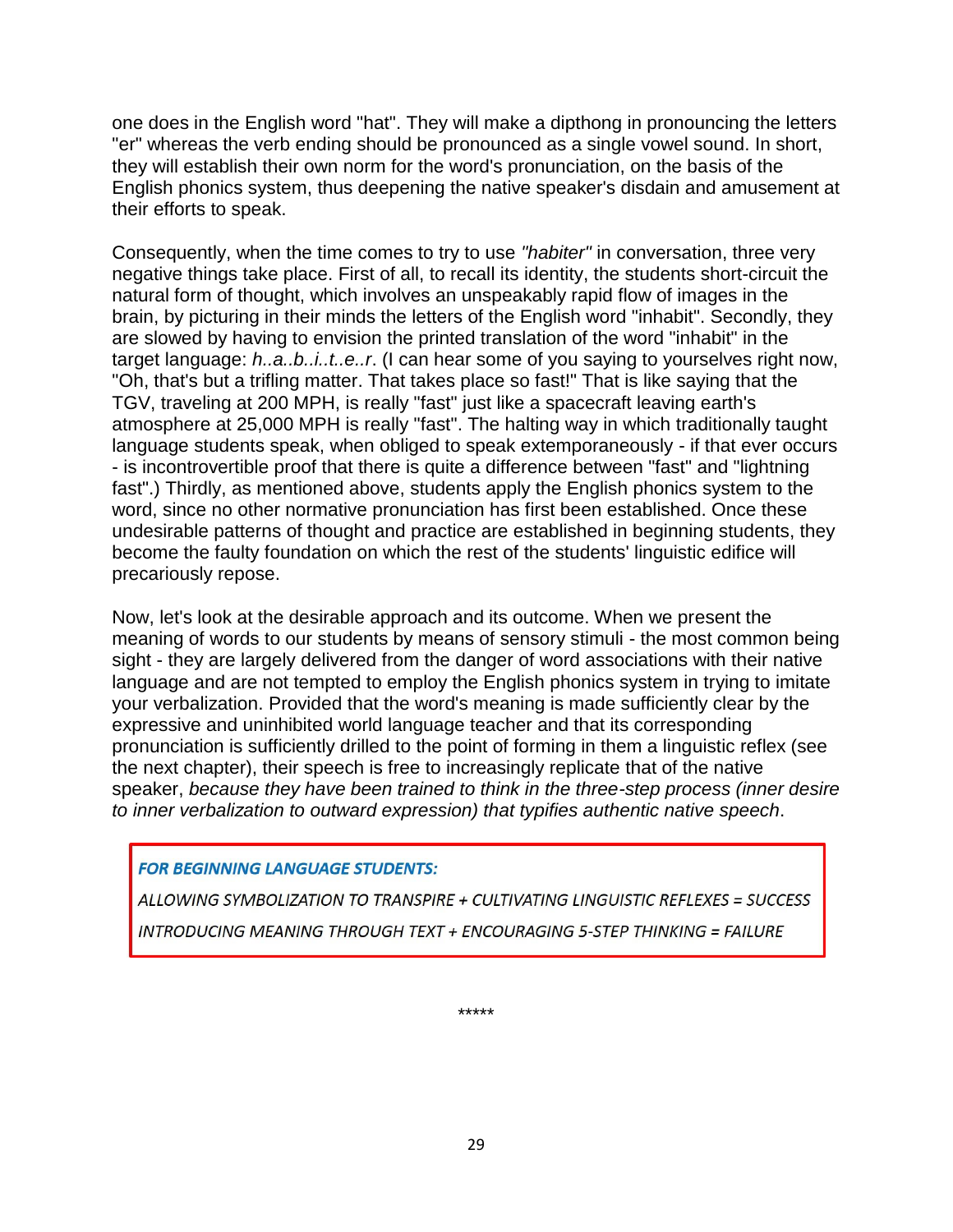one does in the English word "hat". They will make a dipthong in pronouncing the letters "er" whereas the verb ending should be pronounced as a single vowel sound. In short, they will establish their own norm for the word's pronunciation, on the basis of the English phonics system, thus deepening the native speaker's disdain and amusement at their efforts to speak.

Consequently, when the time comes to try to use *"habiter"* in conversation, three very negative things take place. First of all, to recall its identity, the students short-circuit the natural form of thought, which involves an unspeakably rapid flow of images in the brain, by picturing in their minds the letters of the English word "inhabit". Secondly, they are slowed by having to envision the printed translation of the word "inhabit" in the target language: *h..a..b..i..t..e..r*. (I can hear some of you saying to yourselves right now, "Oh, that's but a trifling matter. That takes place so fast!" That is like saying that the TGV, traveling at 200 MPH, is really "fast" just like a spacecraft leaving earth's atmosphere at 25,000 MPH is really "fast". The halting way in which traditionally taught language students speak, when obliged to speak extemporaneously - if that ever occurs - is incontrovertible proof that there is quite a difference between "fast" and "lightning fast".) Thirdly, as mentioned above, students apply the English phonics system to the word, since no other normative pronunciation has first been established. Once these undesirable patterns of thought and practice are established in beginning students, they become the faulty foundation on which the rest of the students' linguistic edifice will precariously repose.

Now, let's look at the desirable approach and its outcome. When we present the meaning of words to our students by means of sensory stimuli - the most common being sight - they are largely delivered from the danger of word associations with their native language and are not tempted to employ the English phonics system in trying to imitate your verbalization. Provided that the word's meaning is made sufficiently clear by the expressive and uninhibited world language teacher and that its corresponding pronunciation is sufficiently drilled to the point of forming in them a linguistic reflex (see the next chapter), their speech is free to increasingly replicate that of the native speaker, *because they have been trained to think in the three-step process (inner desire to inner verbalization to outward expression) that typifies authentic native speech*.

#### **FOR BEGINNING LANGUAGE STUDENTS:**

ALLOWING SYMBOLIZATION TO TRANSPIRE + CULTIVATING LINGUISTIC REFLEXES = SUCCESS **INTRODUCING MEANING THROUGH TEXT + ENCOURAGING 5-STEP THINKING = FAILURE** 

\*\*\*\*\*